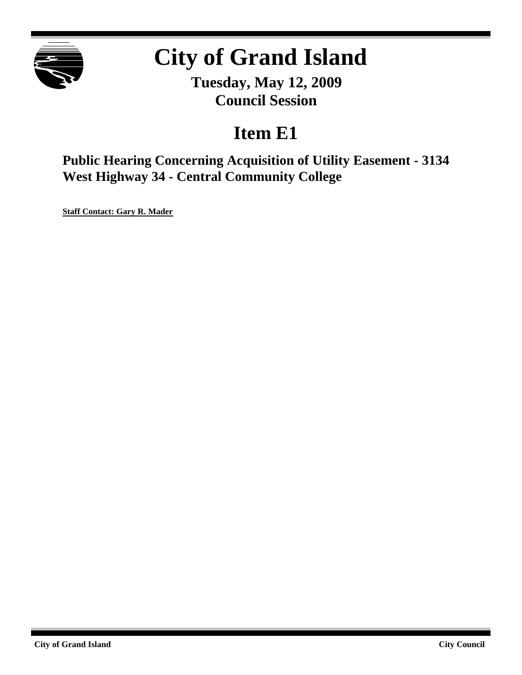

# **City of Grand Island**

**Tuesday, May 12, 2009 Council Session**

# **Item E1**

**Public Hearing Concerning Acquisition of Utility Easement - 3134 West Highway 34 - Central Community College**

**Staff Contact: Gary R. Mader**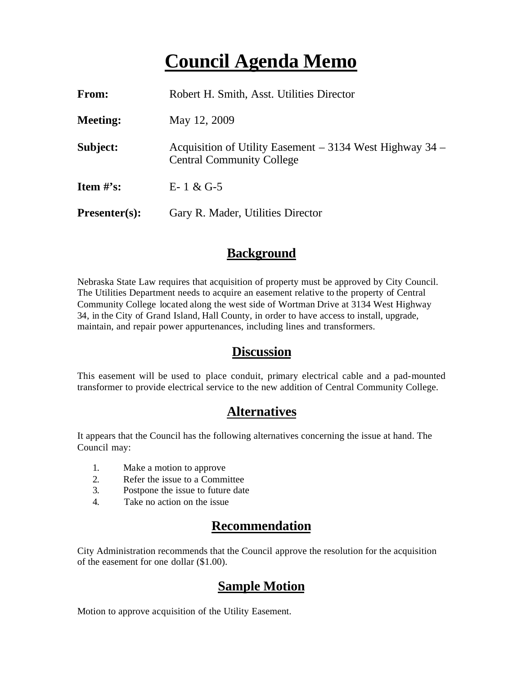# **Council Agenda Memo**

| From:                          | Robert H. Smith, Asst. Utilities Director                                                        |
|--------------------------------|--------------------------------------------------------------------------------------------------|
| <b>Meeting:</b>                | May 12, 2009                                                                                     |
| Subject:                       | Acquisition of Utility Easement $-$ 3134 West Highway 34 $-$<br><b>Central Community College</b> |
| <b>Item <math>\#</math>'s:</b> | $E-1 & 0.6 - 5$                                                                                  |
| $Presenter(s):$                | Gary R. Mader, Utilities Director                                                                |

#### **Background**

Nebraska State Law requires that acquisition of property must be approved by City Council. The Utilities Department needs to acquire an easement relative to the property of Central Community College located along the west side of Wortman Drive at 3134 West Highway 34, in the City of Grand Island, Hall County, in order to have access to install, upgrade, maintain, and repair power appurtenances, including lines and transformers.

#### **Discussion**

This easement will be used to place conduit, primary electrical cable and a pad-mounted transformer to provide electrical service to the new addition of Central Community College.

### **Alternatives**

It appears that the Council has the following alternatives concerning the issue at hand. The Council may:

- 1. Make a motion to approve
- 2. Refer the issue to a Committee
- 3. Postpone the issue to future date
- 4. Take no action on the issue

## **Recommendation**

City Administration recommends that the Council approve the resolution for the acquisition of the easement for one dollar (\$1.00).

### **Sample Motion**

Motion to approve acquisition of the Utility Easement.